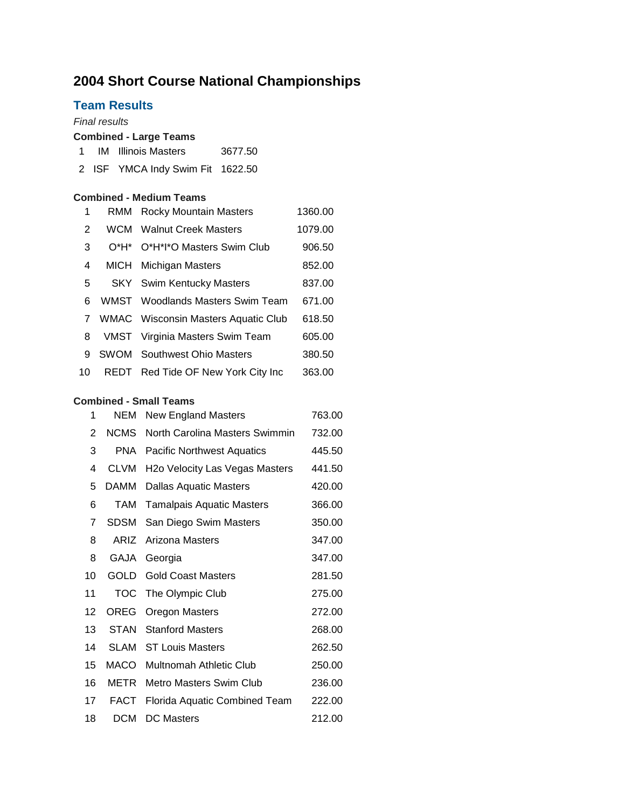# **Short Course National Championships**

# **Team Results**

# *Final results* **Combined - Large Teams** IM Illinois Masters 3677.50 ISF YMCA Indy Swim Fit 1622.50 **Combined - Medium Teams** 1 RMM Rocky Mountain Masters 1360.00 2 WCM Walnut Creek Masters 1079.00 O\*H\* O\*H\*I\*O Masters Swim Club 906.50 4 MICH Michigan Masters 852.00 5 SKY Swim Kentucky Masters 837.00 WMST Woodlands Masters Swim Team 671.00 WMAC Wisconsin Masters Aquatic Club 618.50 VMST Virginia Masters Swim Team 605.00 9 SWOM Southwest Ohio Masters 380.50 REDT Red Tide OF New York City Inc 363.00

### **Combined - Small Teams**

| 1  | NEM         | <b>New England Masters</b>                  | 763.00 |
|----|-------------|---------------------------------------------|--------|
| 2  | <b>NCMS</b> | North Carolina Masters Swimmin              | 732.00 |
| 3  | <b>PNA</b>  | <b>Pacific Northwest Aquatics</b>           | 445.50 |
| 4  | <b>CLVM</b> | H <sub>2</sub> o Velocity Las Vegas Masters | 441.50 |
| 5  | DAMM        | <b>Dallas Aquatic Masters</b>               | 420.00 |
| 6  | TAM         | <b>Tamalpais Aquatic Masters</b>            | 366.00 |
| 7  | <b>SDSM</b> | San Diego Swim Masters                      | 350.00 |
| 8  | ARIZ        | Arizona Masters                             | 347.00 |
| 8  | GAJA        | Georgia                                     | 347.00 |
| 10 | GOLD        | <b>Gold Coast Masters</b>                   | 281.50 |
| 11 | <b>TOC</b>  | The Olympic Club                            | 275.00 |
| 12 | OREG        | Oregon Masters                              | 272.00 |
| 13 | STAN        | <b>Stanford Masters</b>                     | 268.00 |
| 14 | SLAM        | <b>ST Louis Masters</b>                     | 262.50 |
| 15 | MACO        | Multnomah Athletic Club                     | 250.00 |
| 16 | METR        | Metro Masters Swim Club                     | 236.00 |
| 17 | FACT        | Florida Aquatic Combined Team               | 222.00 |
| 18 | <b>DCM</b>  | <b>DC Masters</b>                           | 212.00 |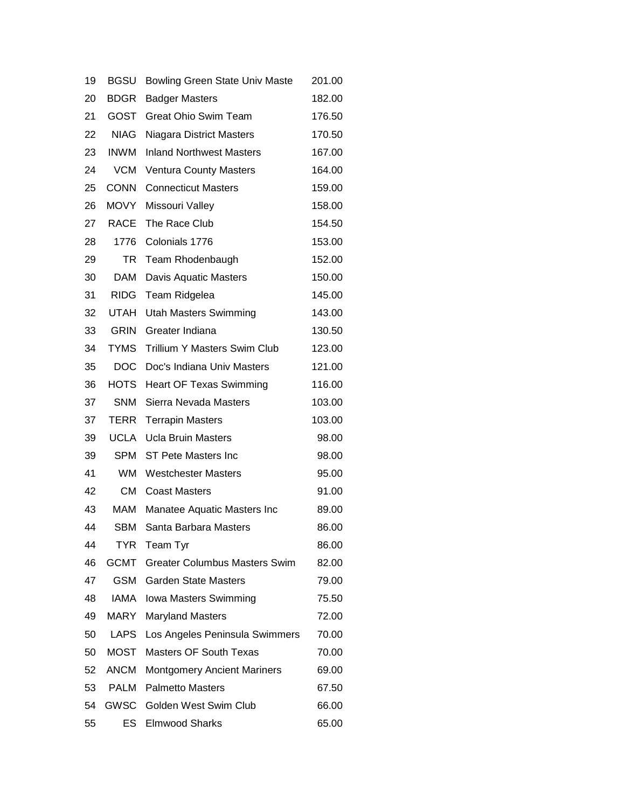| 19 | <b>BGSU</b> | <b>Bowling Green State Univ Maste</b> | 201.00 |
|----|-------------|---------------------------------------|--------|
| 20 | <b>BDGR</b> | <b>Badger Masters</b>                 | 182.00 |
| 21 | <b>GOST</b> | <b>Great Ohio Swim Team</b>           | 176.50 |
| 22 | <b>NIAG</b> | <b>Niagara District Masters</b>       | 170.50 |
| 23 | <b>INWM</b> | <b>Inland Northwest Masters</b>       | 167.00 |
| 24 | <b>VCM</b>  | <b>Ventura County Masters</b>         | 164.00 |
| 25 | <b>CONN</b> | <b>Connecticut Masters</b>            | 159.00 |
| 26 | <b>MOVY</b> | Missouri Valley                       | 158.00 |
| 27 | <b>RACE</b> | The Race Club                         | 154.50 |
| 28 | 1776        | Colonials 1776                        | 153.00 |
| 29 | TR          | Team Rhodenbaugh                      | 152.00 |
| 30 | DAM         | Davis Aquatic Masters                 | 150.00 |
| 31 | <b>RIDG</b> | Team Ridgelea                         | 145.00 |
| 32 | <b>UTAH</b> | <b>Utah Masters Swimming</b>          | 143.00 |
| 33 | <b>GRIN</b> | Greater Indiana                       | 130.50 |
| 34 | <b>TYMS</b> | Trillium Y Masters Swim Club          | 123.00 |
| 35 | <b>DOC</b>  | Doc's Indiana Univ Masters            | 121.00 |
| 36 | <b>HOTS</b> | <b>Heart OF Texas Swimming</b>        | 116.00 |
| 37 | <b>SNM</b>  | Sierra Nevada Masters                 | 103.00 |
| 37 | TERR        | <b>Terrapin Masters</b>               | 103.00 |
| 39 | <b>UCLA</b> | <b>Ucla Bruin Masters</b>             | 98.00  |
| 39 | SPM         | ST Pete Masters Inc                   | 98.00  |
| 41 | WM.         | <b>Westchester Masters</b>            | 95.00  |
| 42 | СM          | <b>Coast Masters</b>                  | 91.00  |
| 43 | MAM         | Manatee Aquatic Masters Inc           | 89.00  |
| 44 | SBM         | Santa Barbara Masters                 | 86.00  |
| 44 | <b>TYR</b>  | Team Tyr                              | 86.00  |
| 46 | <b>GCMT</b> | <b>Greater Columbus Masters Swim</b>  | 82.00  |
| 47 | <b>GSM</b>  | <b>Garden State Masters</b>           | 79.00  |
| 48 | IAMA        | Iowa Masters Swimming                 | 75.50  |
| 49 | <b>MARY</b> | <b>Maryland Masters</b>               | 72.00  |
| 50 | <b>LAPS</b> | Los Angeles Peninsula Swimmers        | 70.00  |
| 50 | <b>MOST</b> | <b>Masters OF South Texas</b>         | 70.00  |
| 52 | <b>ANCM</b> | <b>Montgomery Ancient Mariners</b>    | 69.00  |
| 53 | <b>PALM</b> | <b>Palmetto Masters</b>               | 67.50  |
| 54 | <b>GWSC</b> | Golden West Swim Club                 | 66.00  |
| 55 | ES          | <b>Elmwood Sharks</b>                 | 65.00  |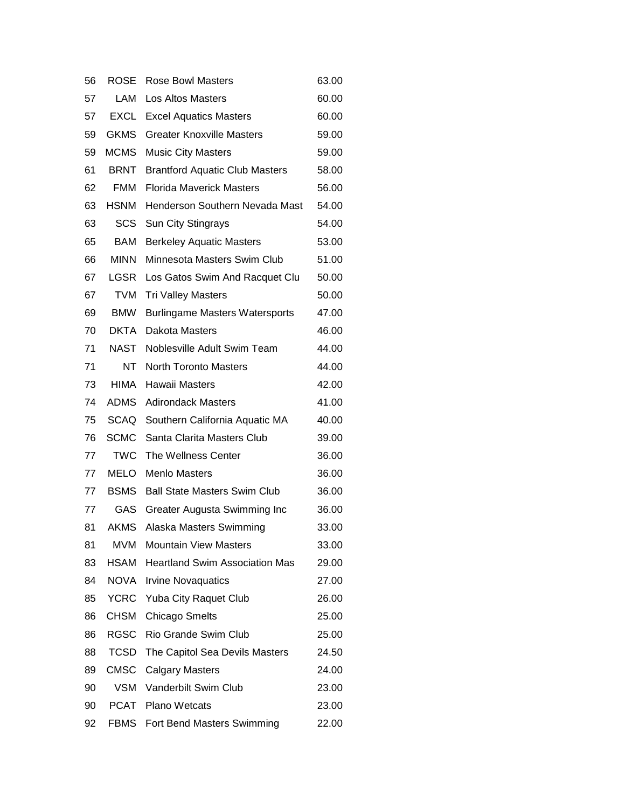| 56 | <b>ROSE</b> | <b>Rose Bowl Masters</b>              | 63.00 |
|----|-------------|---------------------------------------|-------|
| 57 | LAM         | Los Altos Masters                     | 60.00 |
| 57 | <b>EXCL</b> | <b>Excel Aquatics Masters</b>         | 60.00 |
| 59 | <b>GKMS</b> | <b>Greater Knoxville Masters</b>      | 59.00 |
| 59 | <b>MCMS</b> | <b>Music City Masters</b>             | 59.00 |
| 61 | BRNT        | <b>Brantford Aquatic Club Masters</b> | 58.00 |
| 62 | <b>FMM</b>  | <b>Florida Maverick Masters</b>       | 56.00 |
| 63 | <b>HSNM</b> | Henderson Southern Nevada Mast        | 54.00 |
| 63 | SCS         | Sun City Stingrays                    | 54.00 |
| 65 | <b>BAM</b>  | <b>Berkeley Aquatic Masters</b>       | 53.00 |
| 66 | <b>MINN</b> | Minnesota Masters Swim Club           | 51.00 |
| 67 | LGSR        | Los Gatos Swim And Racquet Clu        | 50.00 |
| 67 | <b>TVM</b>  | <b>Tri Valley Masters</b>             | 50.00 |
| 69 | BMW         | <b>Burlingame Masters Watersports</b> | 47.00 |
| 70 | <b>DKTA</b> | Dakota Masters                        | 46.00 |
| 71 | NAST        | Noblesville Adult Swim Team           | 44.00 |
| 71 | NT.         | <b>North Toronto Masters</b>          | 44.00 |
| 73 | <b>HIMA</b> | Hawaii Masters                        | 42.00 |
| 74 | <b>ADMS</b> | <b>Adirondack Masters</b>             | 41.00 |
| 75 | <b>SCAQ</b> | Southern California Aquatic MA        | 40.00 |
| 76 | <b>SCMC</b> | Santa Clarita Masters Club            | 39.00 |
| 77 | <b>TWC</b>  | The Wellness Center                   | 36.00 |
| 77 | <b>MELO</b> | <b>Menlo Masters</b>                  | 36.00 |
| 77 | <b>BSMS</b> | <b>Ball State Masters Swim Club</b>   | 36.00 |
| 77 | GAS.        | Greater Augusta Swimming Inc          | 36.00 |
| 81 | <b>AKMS</b> | Alaska Masters Swimming               | 33.00 |
| 81 | MVM         | <b>Mountain View Masters</b>          | 33.00 |
| 83 | HSAM        | <b>Heartland Swim Association Mas</b> | 29.00 |
| 84 | NOVA        | <b>Irvine Novaquatics</b>             | 27.00 |
| 85 | <b>YCRC</b> | Yuba City Raquet Club                 | 26.00 |
| 86 | <b>CHSM</b> | <b>Chicago Smelts</b>                 | 25.00 |
| 86 | <b>RGSC</b> | Rio Grande Swim Club                  | 25.00 |
| 88 | <b>TCSD</b> | The Capitol Sea Devils Masters        | 24.50 |
| 89 | <b>CMSC</b> | <b>Calgary Masters</b>                | 24.00 |
| 90 | VSM         | Vanderbilt Swim Club                  | 23.00 |
| 90 | PCAT        | <b>Plano Wetcats</b>                  | 23.00 |
| 92 | FBMS        | Fort Bend Masters Swimming            | 22.00 |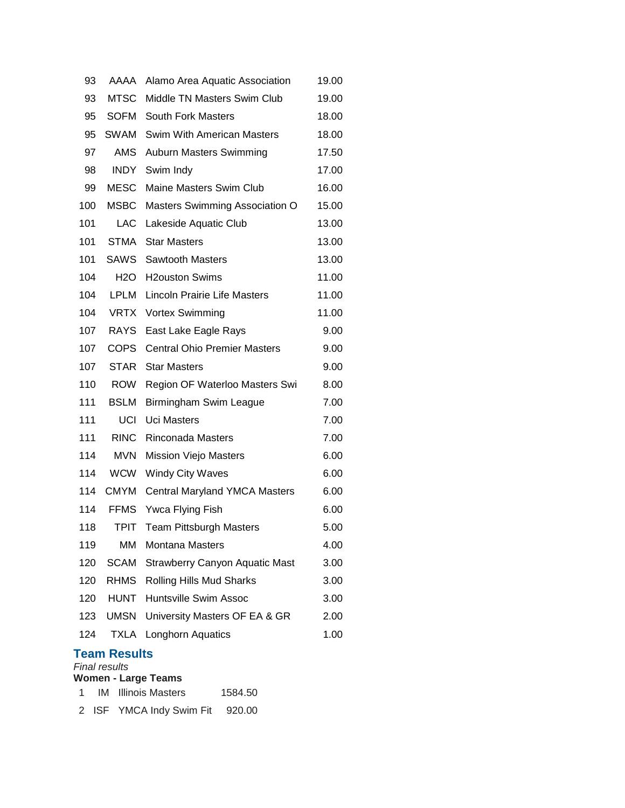| 93  | AAAA                | Alamo Area Aquatic Association        | 19.00 |
|-----|---------------------|---------------------------------------|-------|
| 93  | MTSC                | Middle TN Masters Swim Club           | 19.00 |
| 95  | SOFM                | <b>South Fork Masters</b>             | 18.00 |
| 95  | SWAM                | <b>Swim With American Masters</b>     | 18.00 |
| 97  | <b>AMS</b>          | <b>Auburn Masters Swimming</b>        | 17.50 |
| 98  | INDY                | Swim Indy                             | 17.00 |
| 99  | <b>MESC</b>         | Maine Masters Swim Club               | 16.00 |
| 100 | MSBC                | Masters Swimming Association O        | 15.00 |
| 101 | <b>LAC</b>          | Lakeside Aquatic Club                 | 13.00 |
| 101 | <b>STMA</b>         | <b>Star Masters</b>                   | 13.00 |
| 101 | SAWS                | <b>Sawtooth Masters</b>               | 13.00 |
| 104 | H2O                 | <b>H2ouston Swims</b>                 | 11.00 |
| 104 | LPLM                | Lincoln Prairie Life Masters          | 11.00 |
| 104 |                     | VRTX Vortex Swimming                  | 11.00 |
| 107 | <b>RAYS</b>         | East Lake Eagle Rays                  | 9.00  |
| 107 | <b>COPS</b>         | <b>Central Ohio Premier Masters</b>   | 9.00  |
| 107 | <b>STAR</b>         | <b>Star Masters</b>                   | 9.00  |
| 110 | <b>ROW</b>          | Region OF Waterloo Masters Swi        | 8.00  |
| 111 | <b>BSLM</b>         | Birmingham Swim League                | 7.00  |
| 111 | UCI                 | <b>Uci Masters</b>                    | 7.00  |
| 111 | <b>RINC</b>         | <b>Rinconada Masters</b>              | 7.00  |
| 114 | <b>MVN</b>          | <b>Mission Viejo Masters</b>          | 6.00  |
| 114 | WCW                 | <b>Windy City Waves</b>               | 6.00  |
| 114 | <b>CMYM</b>         | <b>Central Maryland YMCA Masters</b>  | 6.00  |
| 114 | <b>FFMS</b>         | Ywca Flying Fish                      | 6.00  |
| 118 | TPIT                | <b>Team Pittsburgh Masters</b>        | 5.00  |
| 119 | МM                  | <b>Montana Masters</b>                | 4.00  |
| 120 | <b>SCAM</b>         | <b>Strawberry Canyon Aquatic Mast</b> | 3.00  |
| 120 | <b>RHMS</b>         | Rolling Hills Mud Sharks              | 3.00  |
|     | 120 HUNT            | <b>Huntsville Swim Assoc</b>          | 3.00  |
|     | 123 UMSN            | University Masters OF EA & GR         | 2.00  |
| 124 | <b>TXLA</b>         | Longhorn Aquatics                     | 1.00  |
|     | <b>Team Results</b> |                                       |       |

*Final results*

**Women - Large Teams**

|  | <b>IM</b> Illinois Masters | 1584.50 |
|--|----------------------------|---------|
|  |                            |         |

ISF YMCA Indy Swim Fit 920.00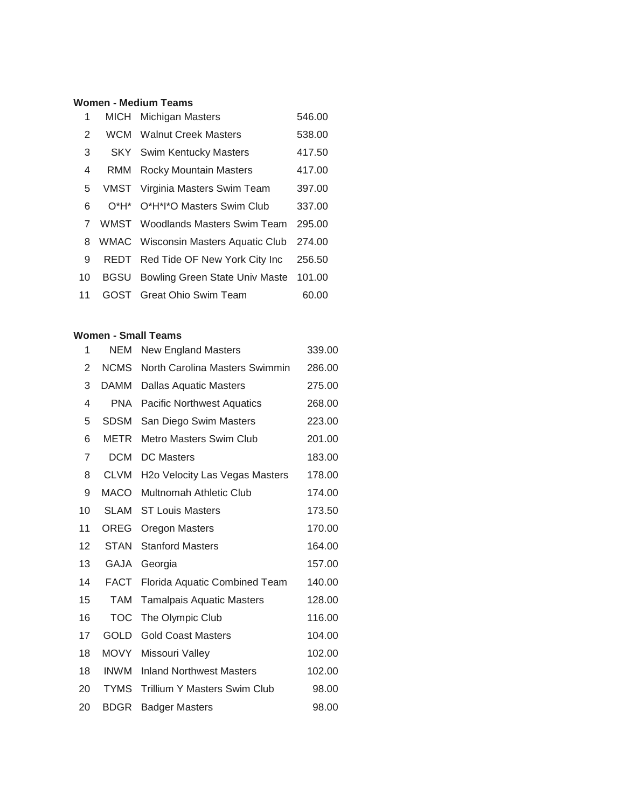## **Women - Medium Teams**

| 1  | MICH        | <b>Michigan Masters</b>             | 546.00 |
|----|-------------|-------------------------------------|--------|
| 2  | WCM         | <b>Walnut Creek Masters</b>         | 538.00 |
| 3  |             | <b>SKY</b> Swim Kentucky Masters    | 417.50 |
| 4  | RMM         | Rocky Mountain Masters              | 417.00 |
| 5  |             | VMST Virginia Masters Swim Team     | 397.00 |
| 6  |             | O*H* O*H*I*O Masters Swim Club      | 337.00 |
| 7  |             | WMST Woodlands Masters Swim Team    | 295.00 |
| 8  |             | WMAC Wisconsin Masters Aquatic Club | 274.00 |
| 9  |             | REDT Red Tide OF New York City Inc  | 256.50 |
| 10 | <b>BGSU</b> | Bowling Green State Univ Maste      | 101.00 |
| 11 | GOST.       | <b>Great Ohio Swim Team</b>         | 60.00  |

#### **Women - Small Teams**

| 1  | NEM         | <b>New England Masters</b>                  | 339.00 |
|----|-------------|---------------------------------------------|--------|
| 2  | <b>NCMS</b> | North Carolina Masters Swimmin              | 286.00 |
| 3  | <b>DAMM</b> | <b>Dallas Aquatic Masters</b>               | 275.00 |
| 4  | <b>PNA</b>  | <b>Pacific Northwest Aquatics</b>           | 268.00 |
| 5  | <b>SDSM</b> | San Diego Swim Masters                      | 223.00 |
| 6  | METR        | <b>Metro Masters Swim Club</b>              | 201.00 |
| 7  | <b>DCM</b>  | <b>DC Masters</b>                           | 183.00 |
| 8  | <b>CLVM</b> | H <sub>2</sub> o Velocity Las Vegas Masters | 178.00 |
| 9  | <b>MACO</b> | Multnomah Athletic Club                     | 174.00 |
| 10 | <b>SLAM</b> | <b>ST Louis Masters</b>                     | 173.50 |
| 11 | OREG        | Oregon Masters                              | 170.00 |
| 12 | <b>STAN</b> | <b>Stanford Masters</b>                     | 164.00 |
| 13 | <b>GAJA</b> | Georgia                                     | 157.00 |
| 14 | <b>FACT</b> | Florida Aquatic Combined Team               | 140.00 |
| 15 | <b>TAM</b>  | <b>Tamalpais Aquatic Masters</b>            | 128.00 |
| 16 | <b>TOC</b>  | The Olympic Club                            | 116.00 |
| 17 | <b>GOLD</b> | <b>Gold Coast Masters</b>                   | 104.00 |
| 18 | <b>MOVY</b> | Missouri Valley                             | 102.00 |
| 18 | <b>INWM</b> | <b>Inland Northwest Masters</b>             | 102.00 |
| 20 | <b>TYMS</b> | Trillium Y Masters Swim Club                | 98.00  |
| 20 | <b>BDGR</b> | Badger Masters                              | 98.00  |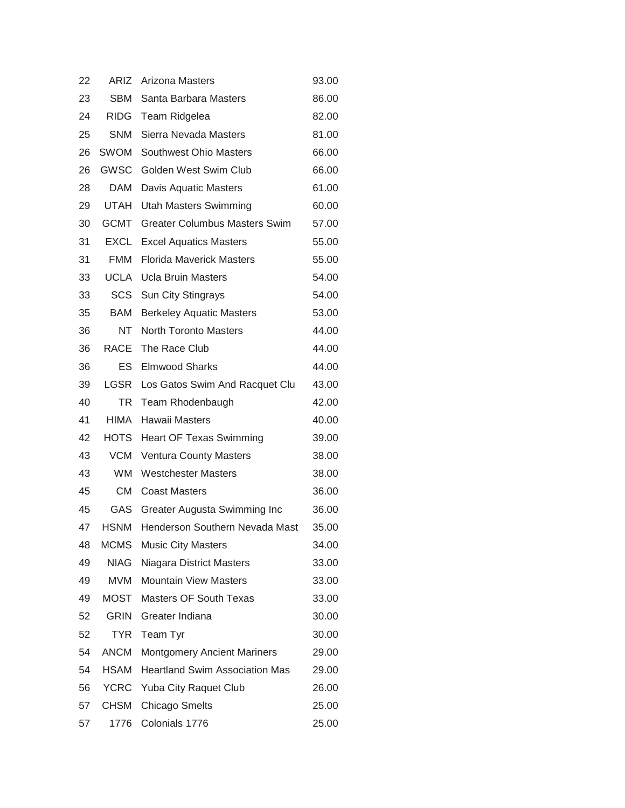| 22 | ARIZ        | Arizona Masters                       | 93.00 |
|----|-------------|---------------------------------------|-------|
| 23 | SBM         | Santa Barbara Masters                 | 86.00 |
| 24 | RIDG        | Team Ridgelea                         | 82.00 |
| 25 | <b>SNM</b>  | Sierra Nevada Masters                 | 81.00 |
| 26 | SWOM        | Southwest Ohio Masters                | 66.00 |
| 26 | GWSC        | Golden West Swim Club                 | 66.00 |
| 28 | DAM         | Davis Aquatic Masters                 | 61.00 |
| 29 | UTAH        | <b>Utah Masters Swimming</b>          | 60.00 |
| 30 | <b>GCMT</b> | <b>Greater Columbus Masters Swim</b>  | 57.00 |
| 31 | EXCL        | <b>Excel Aquatics Masters</b>         | 55.00 |
| 31 | FMM         | <b>Florida Maverick Masters</b>       | 55.00 |
| 33 | UCLA        | <b>Ucla Bruin Masters</b>             | 54.00 |
| 33 | SCS         | <b>Sun City Stingrays</b>             | 54.00 |
| 35 | BAM         | <b>Berkeley Aquatic Masters</b>       | 53.00 |
| 36 | NT.         | <b>North Toronto Masters</b>          | 44.00 |
| 36 | RACE        | The Race Club                         | 44.00 |
| 36 | ES          | <b>Elmwood Sharks</b>                 | 44.00 |
| 39 | LGSR        | Los Gatos Swim And Racquet Clu        | 43.00 |
| 40 | TR          | Team Rhodenbaugh                      | 42.00 |
| 41 | HIMA        | Hawaii Masters                        | 40.00 |
| 42 | HOTS        | <b>Heart OF Texas Swimming</b>        | 39.00 |
| 43 | VCM         | <b>Ventura County Masters</b>         | 38.00 |
| 43 | WM.         | <b>Westchester Masters</b>            | 38.00 |
| 45 | <b>CM</b>   | <b>Coast Masters</b>                  | 36.00 |
| 45 | GAS         | Greater Augusta Swimming Inc          | 36.00 |
| 47 | <b>HSNM</b> | Henderson Southern Nevada Mast        | 35.00 |
| 48 | <b>MCMS</b> | <b>Music City Masters</b>             | 34.00 |
| 49 | <b>NIAG</b> | Niagara District Masters              | 33.00 |
| 49 | MVM         | <b>Mountain View Masters</b>          | 33.00 |
| 49 | <b>MOST</b> | <b>Masters OF South Texas</b>         | 33.00 |
| 52 | GRIN        | Greater Indiana                       | 30.00 |
| 52 | <b>TYR</b>  | Team Tyr                              | 30.00 |
| 54 | <b>ANCM</b> | <b>Montgomery Ancient Mariners</b>    | 29.00 |
| 54 | <b>HSAM</b> | <b>Heartland Swim Association Mas</b> | 29.00 |
| 56 | <b>YCRC</b> | <b>Yuba City Raquet Club</b>          | 26.00 |
| 57 | <b>CHSM</b> | <b>Chicago Smelts</b>                 | 25.00 |
| 57 | 1776        | Colonials 1776                        | 25.00 |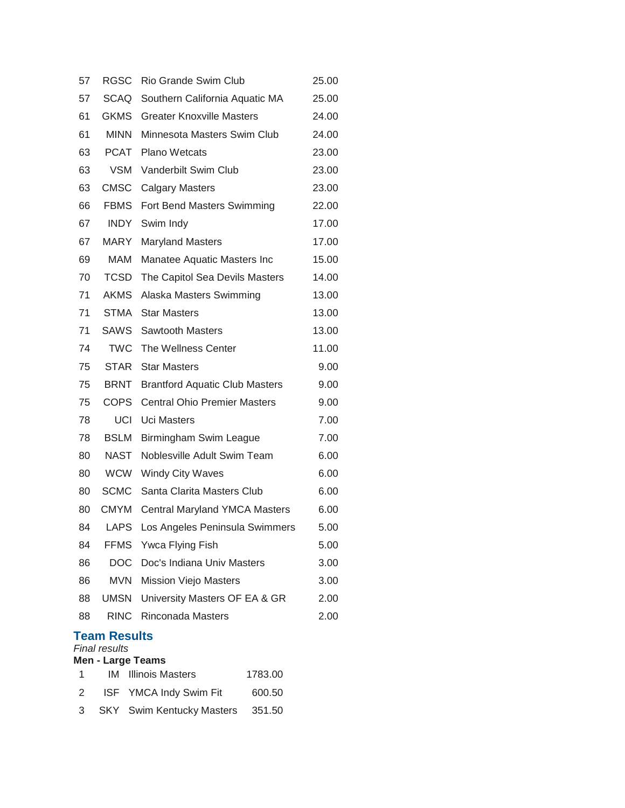| 57 | RGSC                                 | Rio Grande Swim Club                  | 25.00 |
|----|--------------------------------------|---------------------------------------|-------|
| 57 | <b>SCAQ</b>                          | Southern California Aquatic MA        | 25.00 |
| 61 | <b>GKMS</b>                          | <b>Greater Knoxville Masters</b>      | 24.00 |
| 61 | <b>MINN</b>                          | Minnesota Masters Swim Club           | 24.00 |
| 63 | <b>PCAT</b>                          | <b>Plano Wetcats</b>                  | 23.00 |
| 63 | <b>VSM</b>                           | Vanderbilt Swim Club                  | 23.00 |
| 63 | <b>CMSC</b>                          | <b>Calgary Masters</b>                | 23.00 |
| 66 | <b>FBMS</b>                          | Fort Bend Masters Swimming            | 22.00 |
| 67 | <b>INDY</b>                          | Swim Indy                             | 17.00 |
| 67 | <b>MARY</b>                          | <b>Maryland Masters</b>               | 17.00 |
| 69 | MAM                                  | Manatee Aquatic Masters Inc           | 15.00 |
| 70 | <b>TCSD</b>                          | The Capitol Sea Devils Masters        | 14.00 |
| 71 | <b>AKMS</b>                          | Alaska Masters Swimming               | 13.00 |
| 71 | <b>STMA</b>                          | <b>Star Masters</b>                   | 13.00 |
| 71 | <b>SAWS</b>                          | <b>Sawtooth Masters</b>               | 13.00 |
| 74 | <b>TWC</b>                           | The Wellness Center                   | 11.00 |
| 75 | <b>STAR</b>                          | <b>Star Masters</b>                   | 9.00  |
| 75 | <b>BRNT</b>                          | <b>Brantford Aquatic Club Masters</b> | 9.00  |
| 75 | <b>COPS</b>                          | <b>Central Ohio Premier Masters</b>   | 9.00  |
| 78 | UCI                                  | <b>Uci Masters</b>                    | 7.00  |
| 78 | <b>BSLM</b>                          | Birmingham Swim League                | 7.00  |
| 80 | NAST                                 | Noblesville Adult Swim Team           | 6.00  |
| 80 | <b>WCW</b>                           | <b>Windy City Waves</b>               | 6.00  |
| 80 | <b>SCMC</b>                          | Santa Clarita Masters Club            | 6.00  |
| 80 | <b>CMYM</b>                          | <b>Central Maryland YMCA Masters</b>  | 6.00  |
| 84 | LAPS                                 | Los Angeles Peninsula Swimmers        | 5.00  |
| 84 |                                      | FFMS Ywca Flying Fish                 | 5.00  |
| 86 |                                      | DOC Doc's Indiana Univ Masters        | 3.00  |
| 86 | MVN                                  | <b>Mission Viejo Masters</b>          | 3.00  |
| 88 | UMSN                                 | University Masters OF EA & GR         | 2.00  |
| 88 | RINC                                 | <b>Rinconada Masters</b>              | 2.00  |
|    | Team Results<br><b>Final results</b> |                                       |       |

#### **Men - Large Teams** 1 IM Illinois Masters 1783.00

| 2 | ISF YMCA Indy Swim Fit | 600.50 |
|---|------------------------|--------|
|   |                        |        |

SKY Swim Kentucky Masters 351.50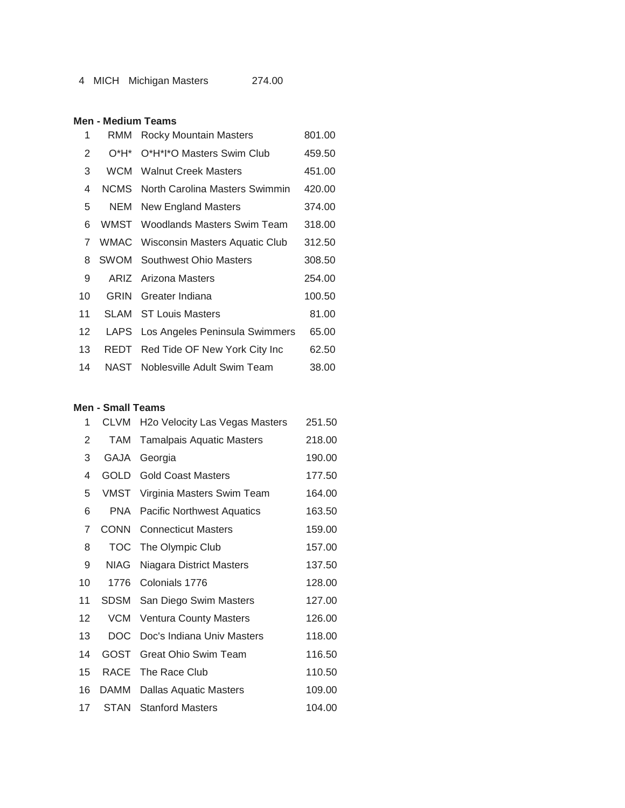# **Men - Medium Teams**

| 1  | RMM         | <b>Rocky Mountain Masters</b>              | 801.00 |
|----|-------------|--------------------------------------------|--------|
| 2  | $O^*H^*$    | O*H*I*O Masters Swim Club                  | 459.50 |
| 3  | <b>WCM</b>  | <b>Walnut Creek Masters</b>                | 451.00 |
| 4  | NCMS        | North Carolina Masters Swimmin             | 420.00 |
| 5  | NEM         | New England Masters                        | 374.00 |
| 6  |             | WMST Woodlands Masters Swim Team           | 318.00 |
| 7  |             | <b>WMAC</b> Wisconsin Masters Aquatic Club | 312.50 |
| 8  |             | <b>SWOM</b> Southwest Ohio Masters         | 308.50 |
| 9  |             | ARIZ Arizona Masters                       | 254.00 |
| 10 | <b>GRIN</b> | Greater Indiana                            | 100.50 |
| 11 | SLAM        | <b>ST Louis Masters</b>                    | 81.00  |
| 12 |             | LAPS Los Angeles Peninsula Swimmers        | 65.00  |
| 13 | REDT        | Red Tide OF New York City Inc              | 62.50  |
| 14 | NAST        | Noblesville Adult Swim Team                | 38.00  |

#### **Men - Small Teams**

| 1  | CLVM        | H <sub>2</sub> o Velocity Las Vegas Masters | 251.50 |
|----|-------------|---------------------------------------------|--------|
| 2  | TAM         | Tamalpais Aquatic Masters                   | 218.00 |
| 3  | GAJA        | Georgia                                     | 190.00 |
| 4  | GOLD        | <b>Gold Coast Masters</b>                   | 177.50 |
| 5  |             | VMST Virginia Masters Swim Team             | 164.00 |
| 6  | <b>PNA</b>  | <b>Pacific Northwest Aquatics</b>           | 163.50 |
| 7  | <b>CONN</b> | <b>Connecticut Masters</b>                  | 159.00 |
| 8  | TOC         | The Olympic Club                            | 157.00 |
| 9  | NIAG        | Niagara District Masters                    | 137.50 |
| 10 | 1776        | Colonials 1776                              | 128.00 |
| 11 | <b>SDSM</b> | San Diego Swim Masters                      | 127.00 |
| 12 | <b>VCM</b>  | <b>Ventura County Masters</b>               | 126.00 |
| 13 | <b>DOC</b>  | Doc's Indiana Univ Masters                  | 118.00 |
| 14 | GOST        | Great Ohio Swim Team                        | 116.50 |
| 15 | RACE        | The Race Club                               | 110.50 |
| 16 | DAMM        | Dallas Aquatic Masters                      | 109.00 |
| 17 | STAN        | <b>Stanford Masters</b>                     | 104.00 |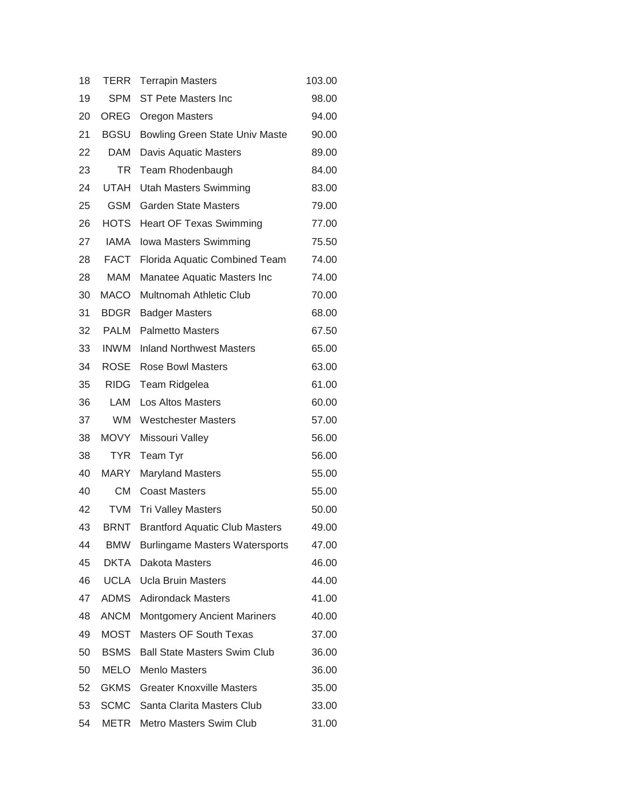| 18 | <b>TERR</b> | <b>Terrapin Masters</b>               | 103.00 |
|----|-------------|---------------------------------------|--------|
| 19 | <b>SPM</b>  | <b>ST Pete Masters Inc</b>            | 98.00  |
| 20 | <b>OREG</b> | <b>Oregon Masters</b>                 | 94.00  |
| 21 | <b>BGSU</b> | <b>Bowling Green State Univ Maste</b> | 90.00  |
| 22 | DAM         | Davis Aquatic Masters                 | 89.00  |
| 23 | TR          | Team Rhodenbaugh                      | 84.00  |
| 24 | <b>UTAH</b> | <b>Utah Masters Swimming</b>          | 83.00  |
| 25 | <b>GSM</b>  | <b>Garden State Masters</b>           | 79.00  |
| 26 | <b>HOTS</b> | <b>Heart OF Texas Swimming</b>        | 77.00  |
| 27 | <b>IAMA</b> | Iowa Masters Swimming                 | 75.50  |
| 28 | <b>FACT</b> | Florida Aquatic Combined Team         | 74.00  |
| 28 | MAM         | Manatee Aquatic Masters Inc           | 74.00  |
| 30 | <b>MACO</b> | Multnomah Athletic Club               | 70.00  |
| 31 | <b>BDGR</b> | <b>Badger Masters</b>                 | 68.00  |
| 32 | <b>PALM</b> | <b>Palmetto Masters</b>               | 67.50  |
| 33 | <b>INWM</b> | <b>Inland Northwest Masters</b>       | 65.00  |
| 34 | <b>ROSE</b> | Rose Bowl Masters                     | 63.00  |
| 35 | RIDG        | Team Ridgelea                         | 61.00  |
| 36 | LAM         | <b>Los Altos Masters</b>              | 60.00  |
| 37 | <b>WM</b>   | <b>Westchester Masters</b>            | 57.00  |
| 38 | <b>MOVY</b> | Missouri Valley                       | 56.00  |
| 38 | <b>TYR</b>  | Team Tyr                              | 56.00  |
| 40 | MARY        | <b>Maryland Masters</b>               | 55.00  |
| 40 | <b>CM</b>   | <b>Coast Masters</b>                  | 55.00  |
| 42 | <b>TVM</b>  | <b>Tri Valley Masters</b>             | 50.00  |
| 43 | <b>BRNT</b> | <b>Brantford Aquatic Club Masters</b> | 49.00  |
| 44 | <b>BMW</b>  | <b>Burlingame Masters Watersports</b> | 47.00  |
| 45 |             | <b>DKTA</b> Dakota Masters            | 46.00  |
| 46 | UCLA        | <b>Ucla Bruin Masters</b>             | 44.00  |
| 47 | ADMS        | <b>Adirondack Masters</b>             | 41.00  |
| 48 | <b>ANCM</b> | <b>Montgomery Ancient Mariners</b>    | 40.00  |
| 49 | <b>MOST</b> | <b>Masters OF South Texas</b>         | 37.00  |
| 50 | <b>BSMS</b> | <b>Ball State Masters Swim Club</b>   | 36.00  |
| 50 | <b>MELO</b> | <b>Menlo Masters</b>                  | 36.00  |
| 52 | <b>GKMS</b> | <b>Greater Knoxville Masters</b>      | 35.00  |
| 53 | <b>SCMC</b> | Santa Clarita Masters Club            | 33.00  |
| 54 | METR        | Metro Masters Swim Club               | 31.00  |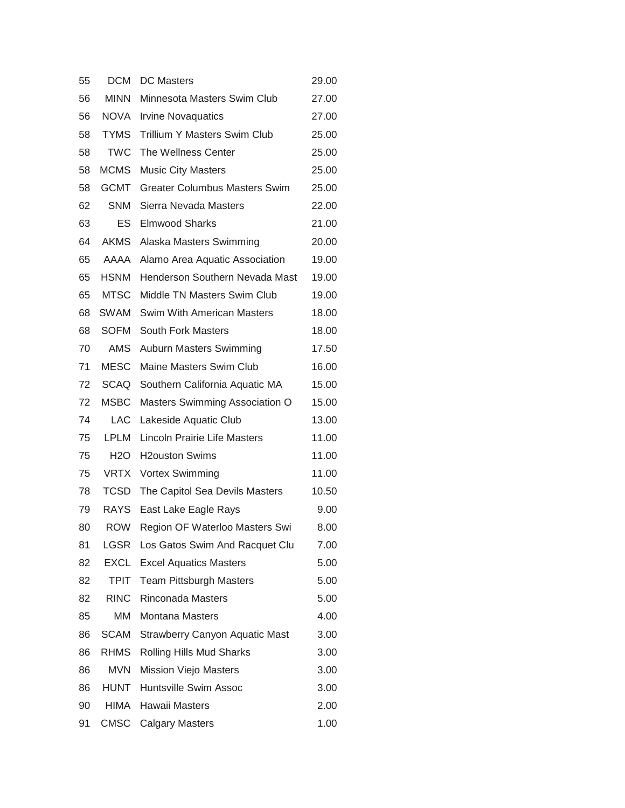| 55 | <b>DCM</b>  | <b>DC Masters</b>                            | 29.00 |
|----|-------------|----------------------------------------------|-------|
| 56 | <b>MINN</b> | Minnesota Masters Swim Club                  | 27.00 |
| 56 | NOVA        | <b>Irvine Novaquatics</b>                    | 27.00 |
| 58 | <b>TYMS</b> | <b>Trillium Y Masters Swim Club</b>          | 25.00 |
| 58 | <b>TWC</b>  | The Wellness Center                          | 25.00 |
| 58 | <b>MCMS</b> | <b>Music City Masters</b>                    | 25.00 |
| 58 | <b>GCMT</b> | <b>Greater Columbus Masters Swim</b>         | 25.00 |
| 62 | <b>SNM</b>  | Sierra Nevada Masters                        | 22.00 |
| 63 | ES          | <b>Elmwood Sharks</b>                        | 21.00 |
| 64 | <b>AKMS</b> | Alaska Masters Swimming                      | 20.00 |
| 65 | AAAA        | Alamo Area Aquatic Association               | 19.00 |
| 65 | <b>HSNM</b> | Henderson Southern Nevada Mast               | 19.00 |
| 65 | <b>MTSC</b> | Middle TN Masters Swim Club                  | 19.00 |
| 68 | SWAM        | Swim With American Masters                   | 18.00 |
| 68 | <b>SOFM</b> | <b>South Fork Masters</b>                    | 18.00 |
| 70 | AMS         | <b>Auburn Masters Swimming</b>               | 17.50 |
| 71 | <b>MESC</b> | Maine Masters Swim Club                      | 16.00 |
| 72 | SCAQ        | Southern California Aquatic MA               | 15.00 |
| 72 | <b>MSBC</b> | Masters Swimming Association O               | 15.00 |
| 74 |             | LAC Lakeside Aquatic Club                    | 13.00 |
| 75 | <b>LPLM</b> | Lincoln Prairie Life Masters                 | 11.00 |
| 75 |             | H <sub>2</sub> O H <sub>2</sub> ouston Swims | 11.00 |
| 75 |             | VRTX Vortex Swimming                         | 11.00 |
| 78 | <b>TCSD</b> | The Capitol Sea Devils Masters               | 10.50 |
| 79 | <b>RAYS</b> | East Lake Eagle Rays                         | 9.00  |
| 80 | <b>ROW</b>  | Region OF Waterloo Masters Swi               | 8.00  |
| 81 | <b>LGSR</b> | Los Gatos Swim And Racquet Clu               | 7.00  |
| 82 |             | <b>EXCL</b> Excel Aquatics Masters           | 5.00  |
| 82 | <b>TPIT</b> | <b>Team Pittsburgh Masters</b>               | 5.00  |
| 82 | <b>RINC</b> | Rinconada Masters                            | 5.00  |
| 85 | MM          | <b>Montana Masters</b>                       | 4.00  |
| 86 | <b>SCAM</b> | <b>Strawberry Canyon Aquatic Mast</b>        | 3.00  |
| 86 | <b>RHMS</b> | Rolling Hills Mud Sharks                     | 3.00  |
| 86 | <b>MVN</b>  | <b>Mission Viejo Masters</b>                 | 3.00  |
| 86 | <b>HUNT</b> | Huntsville Swim Assoc                        | 3.00  |
| 90 | <b>HIMA</b> | Hawaii Masters                               | 2.00  |
| 91 | CMSC        | <b>Calgary Masters</b>                       | 1.00  |